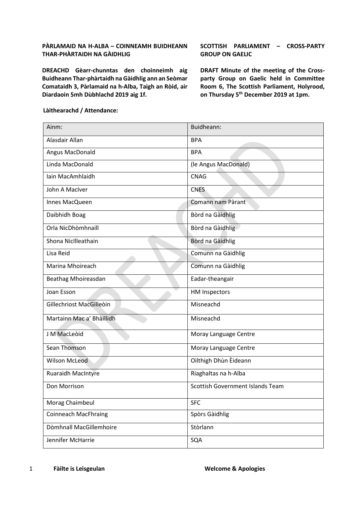### **PÀRLAMAID NA H-ALBA – COINNEAMH BUIDHEANN THAR-PHÀRTAIDH NA GÀIDHLIG**

**DREACHD Gèarr-chunntas den choinneimh aig Buidheann Thar-phàrtaidh na Gàidhlig ann an Seòmar Comataidh 3, Pàrlamaid na h-Alba, Taigh an Ròid, air Diardaoin 5mh Dùbhlachd 2019 aig 1f.**

**SCOTTISH PARLIAMENT – CROSS-PARTY GROUP ON GAELIC**

**DRAFT Minute of the meeting of the Crossparty Group on Gaelic held in Committee Room 6, The Scottish Parliament, Holyrood, on Thursday 5th December 2019 at 1pm.** 

| Ainm:                       | Buidheann:                       |
|-----------------------------|----------------------------------|
| Alasdair Allan              | <b>BPA</b>                       |
| Angus MacDonald             | <b>BPA</b>                       |
| Linda MacDonald             | (le Angus MacDonald)             |
| Iain MacAmhlaidh            | <b>CNAG</b>                      |
| John A MacIver              | <b>CNES</b>                      |
| Innes MacQueen              | Comann nam Pàrant                |
| Daibhidh Boag               | Bòrd na Gàidhlig                 |
| Orla NicDhòmhnaill          | Bòrd na Gàidhlig                 |
| Shona NicIlleathain         | Bòrd na Gàidhlig                 |
| Lisa Reid                   | Comunn na Gàidhlig               |
| Marina Mhoireach            | Comunn na Gàidhlig               |
| Beathag Mhoireasdan         | Eadar-theangair                  |
| Joan Esson                  | <b>HM Inspectors</b>             |
| Gillechriost MacGilleoin    | Misneachd                        |
| Martainn Mac a' Bhàillidh   | Misneachd                        |
| J M MacLeòid                | Moray Language Centre            |
| Sean Thomson                | Moray Language Centre            |
| <b>Wilson McLeod</b>        | Oilthigh Dhùn Èideann            |
| <b>Ruaraidh MacIntyre</b>   | Riaghaltas na h-Alba             |
| Don Morrison                | Scottish Government Islands Team |
| Morag Chaimbeul             | <b>SFC</b>                       |
| <b>Coinneach MacFhraing</b> | Spòrs Gàidhlig                   |
| Dòmhnall MacGillemhoire     | Stòrlann                         |
| Jennifer McHarrie           | SQA                              |

### **Làithearachd / Attendance:**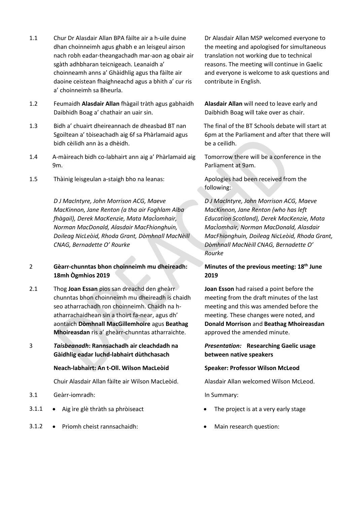- 1.1 Chur Dr Alasdair Allan BPA fàilte air a h-uile duine dhan choinneimh agus ghabh e an leisgeul airson nach robh eadar-theangachadh mar-aon ag obair air sgàth adhbharan teicnigeach. Leanaidh a' choinneamh anns a' Ghàidhlig agus tha fàilte air daoine ceistean fhaighneachd agus a bhith a' cur ris a' choinneimh sa Bheurla.
- 1.2 Feumaidh **Alasdair Allan** fhàgail tràth agus gabhaidh Daibhidh Boag a' chathair an uair sin.
- 1.3 Bidh a' chuairt dheireannach de dheasbad BT nan Sgoiltean a' tòiseachadh aig 6f sa Phàrlamaid agus bidh cèilidh ann às a dhèidh.
- 1.4 A-màireach bidh co-labhairt ann aig a' Phàrlamaid aig 9m.
- 1.5 Thàinig leisgeulan a-staigh bho na leanas: Apologies had been received from the

*D J MacIntyre, John Morrison ACG, Maeve MacKinnon, Jane Renton (a tha air Foghlam Alba fhàgail), Derek MacKenzie, Mata MacÌomhair, Norman MacDonald, Alasdair MacFhionghuin, Doileag NicLeòid, Rhoda Grant, Dòmhnall MacNèill CNAG, Bernadette O' Rourke*

# 2 **Gèarr-chunntas bhon choinneimh mu dheireadh: 18mh Ògmhios 2019**

- 2.1 Thog **Joan Essan** pìos san dreachd den gheàrr chunntas bhon choinneimh mu dheireadh is chaidh seo atharrachadh ron choinneimh. Chaidh na hatharrachaidhean sin a thoirt fa-near, agus dh' aontaich **Dòmhnall MacGillemhoire** agus **Beathag Mhoireasdan** ris a' gheàrr-chunntas atharraichte.
- 3 *Taisbeanadh***: Rannsachadh air cleachdadh na Gàidhlig eadar luchd-labhairt dùthchasach**

### **Neach-labhairt: An t-Oll. Wilson MacLeòid Speaker: Professor Wilson McLeod**

Chuir Alasdair Allan fàilte air Wilson MacLeòid. Alasdair Allan welcomed Wilson McLeod.

- 3.1 Geàrr-iomradh: In Summary:
- 3.1.1 Aig ìre glè thràth sa phròiseact The project is at a very early stage
- 3.1.2 Prìomh cheist rannsachaidh: Main research question:

Dr Alasdair Allan MSP welcomed everyone to the meeting and apologised for simultaneous translation not working due to technical reasons. The meeting will continue in Gaelic and everyone is welcome to ask questions and contribute in English.

**Alasdair Allan** will need to leave early and Daibhidh Boag will take over as chair.

The final of the BT Schools debate will start at 6pm at the Parliament and after that there will be a ceilidh.

Tomorrow there will be a conference in the Parliament at 9am.

following:

*D J MacIntyre, John Morrison ACG, Maeve MacKinnon, Jane Renton (who has left Education Scotland), Derek MacKenzie, Mata MacÌomhair, Norman MacDonald, Alasdair MacFhionghuin, Doileag NicLeòid, Rhoda Grant, Dòmhnall MacNèill CNAG, Bernadette O' Rourke*

# **Minutes of the previous meeting: 18th June 2019**

**Joan Esson** had raised a point before the meeting from the draft minutes of the last meeting and this was amended before the meeting. These changes were noted, and **Donald Morrison** and **Beathag Mhoireasdan** approved the amended minute.

# *Presentation:* **Researching Gaelic usage between native speakers**

- 
-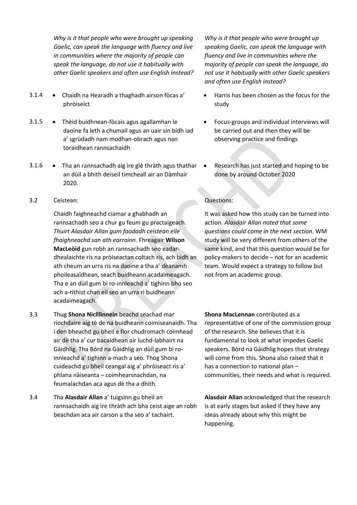*Why is it that people who were brought up speaking Gaelic, can speak the language with fluency and live in communities where the majority of people can speak the language, do not use it habitually with other Gaelic speakers and often use English instead?*

- 3.1.4 Chaidh na Hearadh a thaghadh airson fòcas a' phròiseict
- 3.1.5 Thèid buidhnean-fòcais agus agallamhan le daoine fa leth a chumail agus an uair sin bidh iad a' sgrùdadh nam modhan-obrach agus nan toraidhean rannsachaidh
- 3.1.6 Tha an rannsachadh aig ìre glè thràth agus thathar an dùil a bhith deiseil timcheall air an Dàmhair 2020.
- 3.2 Ceistean: Questions:

Chaidh faighneachd ciamar a ghabhadh an rannsachadh seo a chur gu feum gu practaigeach. *Thuirt Alasdair Allan gum faodadh ceistean eile fhaighneachd san ath earrainn.* Fhreagair **Wilson MacLeòid** gun robh an rannsachadh seo eadardhealaichte ris na pròiseactan coltach ris, ach bidh an ath cheum an urra ris na daoine a tha a' dèanamh phoileasaidhean, seach buidheann acadaimeagach. Tha e an dùil gum bi ro-innleachd a' tighinn bho seo ach a-rithist chan eil seo an urra ri buidheann acadaimeagach.

- 3.3 Thug **Shona Niclllinnein** beachd seachad mar riochdaire aig tè de na buidheann coimiseanaidh. Tha i den bheachd gu bheil e fìor chudromach coimhead air dè tha a' cur bacaidhean air luchd-labhairt na Gàidhlig. Tha Bòrd na Gàidhlig an dùil gum bi roinnleachd a' tighinn a-mach a seo. Thog Shona cuideachd gu bheil ceangal aig a' phròiseact ris a' phlana nàiseanta – coimhearsnachdan, na feumalachdan aca agus dè tha a dhìth.
- 3.4 Tha **Alasdair Allan** a' tuigsinn gu bheil an rannsachaidh aig ìre thràth ach bha ceist aige an robh beachdan aca air carson a tha seo a' tachairt.

*Why is it that people who were brought up speaking Gaelic, can speak the language with fluency and live in communities where the majority of people can speak the language, do not use it habitually with other Gaelic speakers and often use English instead?*

- Harris has been chosen as the focus for the study
- Focus-groups and individual interviews will be carried out and then they will be observing practice and findings
- Research has just started and hoping to be done by around October 2020

It was asked how this study can be turned into action. *Alasdair Allan noted that some questions could come in the next section.* WM study will be very different from others of the same kind, and that this question would be for policy-makers to decide – not for an academic team. Would expect a strategy to follow but not from an academic group.

**Shona MacLennan** contributed as a representative of one of the commission group of the research. She believes that it is fundamental to look at what impedes Gaelic speakers. Bòrd na Gàidhlig hopes that strategy will come from this. Shona also raised that it has a connection to national plan – communities, their needs and what is required.

**Alasdair Allan** acknowledged that the research is at early stages but asked if they have any ideas already about why this might be happening.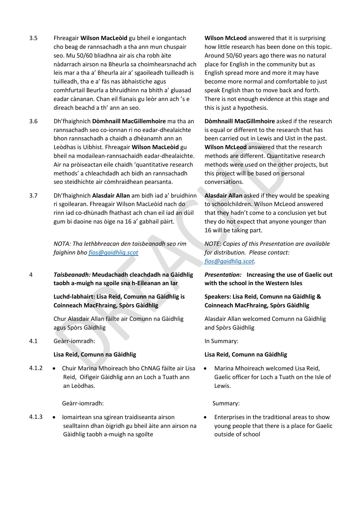- 3.5 Fhreagair **Wilson MacLeòid** gu bheil e iongantach cho beag de rannsachadh a tha ann mun chuspair seo. Mu 50/60 bliadhna air ais cha robh àite nàdarrach airson na Bheurla sa choimhearsnachd ach leis mar a tha a' Bheurla air a' sgaoileadh tuilleadh is tuilleadh, tha e a' fàs nas àbhaistiche agus comhfurtail Beurla a bhruidhinn na bhith a' gluasad eadar cànanan. Chan eil fianais gu leòr ann ach 's e dìreach beachd a th' ann an seo.
- 3.6 Dh'fhaighnich **Dòmhnaill MacGillemhoire** ma tha an rannsachadh seo co-ionnan ri no eadar-dhealaichte bhon rannsachadh a chaidh a dhèanamh ann an Leòdhas is Uibhist. Fhreagair **Wilson MacLeòid** gu bheil na modailean-rannsachaidh eadar-dhealaichte. Air na pròiseactan eile chaidh 'quantitative research methods' a chleachdadh ach bidh an rannsachadh seo steidhichte air còmhraidhean pearsanta.
- 3.7 Dh'fhaighnich **Alasdair Allan** am bidh iad a' bruidhinn ri sgoilearan. Fhreagair Wilson MacLeòid nach do rinn iad co-dhùnadh fhathast ach chan eil iad an dùil gum bi daoine nas òige na 16 a' gabhail pàirt.

*NOTA: Tha lethbhreacan den taisbeanadh seo rim faighinn bho [fios@gaidhlig.scot](mailto:fios@gaidhlig.scot)*

4 *Taisbeanadh:* **Meudachadh cleachdadh na Gàidhlig taobh a-muigh na sgoile sna h-Eileanan an Iar**

> **Luchd-labhairt: Lisa Reid, Comunn na Gàidhlig is Coinneach MacFhraing, Spòrs Gàidhlig**

> Chur Alasdair Allan fàilte air Comunn na Gàidhlig agus Spòrs Gàidhlig

4.1 Geàrr-iomradh: In Summary:

4.1.2 • Chuir Marina Mhoireach bho ChNAG fàilte air Lisa Reid, Oifigeir Gàidhlig ann an Loch a Tuath ann an Leòdhas.

Geàrr-iomradh: Summary:

4.1.3 • Iomairtean sna sgirean traidiseanta airson sealltainn dhan òigridh gu bheil àite ann airson na Gàidhlig taobh a-muigh na sgoilte

**Wilson McLeod** answered that it is surprising how little research has been done on this topic. Around 50/60 years ago there was no natural place for English in the community but as English spread more and more it may have become more normal and comfortable to just speak English than to move back and forth. There is not enough evidence at this stage and this is just a hypothesis.

**Dòmhnaill MacGillmhoire** asked if the research is equal or different to the research that has been carried out in Lewis and Uist in the past. **Wilson McLeod** answered that the research methods are different. Quantitative research methods were used on the other projects, but this project will be based on personal conversations.

**Alasdair Allan** asked if they would be speaking to schoolchildren. Wilson McLeod answered that they hadn't come to a conclusion yet but they do not expect that anyone younger than 16 will be taking part.

*NOTE: Copies of this Presentation are available for distribution. Please contact: [fios@gaidhlig.scot.](mailto:fios@gaidhlig.scot)*

*Presentation:* **Increasing the use of Gaelic out with the school in the Western Isles** 

# **Speakers: Lisa Reid, Comunn na Gàidhlig & Coinneach MacFhraing, Spòrs Gàidhlig**

Alasdair Allan welcomed Comunn na Gàidhlig and Spòrs Gàidhlig

### **Lisa Reid, Comunn na Gàidhlig Lisa Reid, Comunn na Gàidhlig**

• Marina Mhoireach welcomed Lisa Reid, Gaelic officer for Loch a Tuath on the Isle of Lewis.

• Enterprises in the traditional areas to show young people that there is a place for Gaelic outside of school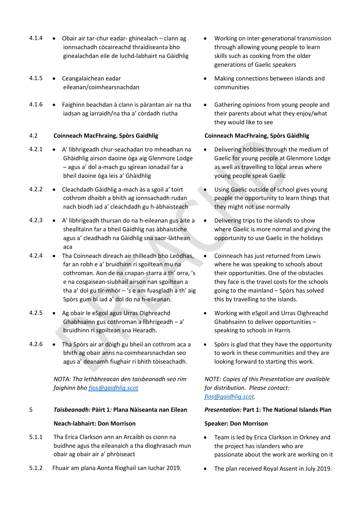- 4.1.4 Obair air tar-chur eadar- ghinealach clann ag ionnsachadh còcaireachd thraidiseanta bho ginealachdan eile de luchd-labhairt na Gàidhlig
- 4.1.5 Ceangalaichean eadar eileanan/coimhearsnachdan
- 4.1.6 Faighinn beachdan à clann is pàrantan air na tha iadsan ag iarraidh/na tha a' còrdadh riutha

# 4.2 **Coinneach MacFhraing, Spòrs Gaidhlig Coinneach MacFhraing, Spòrs Gàidhlig**

- 4.2.1 A' lìbhrigeadh chur-seachadan tro mheadhan na Ghàidhlig airson daoine òga aig Glenmore Lodge – agus a' dol a-mach gu sgìrean ionadail far a bheil daoine òga leis a' Ghàidhlig
- 4.2.2 Cleachdadh Gàidhlig a-mach às a sgoil a' toirt cothrom dhaibh a bhith ag ionnsachadh rudan nach biodh iad a' cleachdadh gu h-àbhaisteach
- 4.2.3 A' lìbhrigeadh thursan do na h-eileanan gus àite a shealltainn far a bheil Gàidhlig nas àbhaistiche agus a' cleadhadh na Gàidhlig sna saor-làithean aca
- 4.2.4 Tha Coinneach dìreach air thilleadh bho Leòdhas, far an robh e a' bruidhinn ri sgoiltean mu na cothroman. Aon de na cnapan-starra a th' orra, 's e na cosgaisean-siubhail airson nan sgoiltean a tha a' dol gu tìr-mhòr – 's e am fuasgladh a th' aig Spòrs gum bi iad a' dol do na h-eileanan.
- 4.2.5 Ag obair le eSgoil agus Urras Oighreachd Ghabhsainn gus cothroman a lìbhrigeadh – a' bruidhinn ri sgoiltean sna Hearadh.
- 4.2.6 Tha Spòrs air ar dòigh gu bheil an cothrom aca a bhith ag obair anns na coimhearsnachdan seo agus a' deanamh fiughair ri bhith tòiseachadh.

*NOTA: Tha lethbhreacan den taisbeanadh seo rim faighinn bho [fios@gaidhlig.scot](mailto:fios@gaidhlig.scot)*

# 5 *Taisbeanadh:* **Pàirt 1***:* **Plana Nàiseanta nan Eilean** *Presentation:* **Part 1: The National Islands Plan Neach-labhairt: Don Morrison Speaker: Don Morrison**

- 5.1.1 Tha Erica Clarkson ann an Arcaibh os cionn na buidhne agus tha eileanaich a tha dìoghrasach mun obair ag obair air a' phròiseact
- 5.1.2 Fhuair am plana Aonta Rìoghail san Iuchar 2019. The plan received Royal Assent in July 2019.
- Working on inter-generational transmission through allowing young people to learn skills such as cooking from the older generations of Gaelic speakers
- Making connections between islands and communities
- Gathering opinions from young people and their parents about what they enjoy/what they would like to see

- Delivering hobbies through the medium of Gaelic for young people at Glenmore Lodge as well as travelling to local areas where young people speak Gaelic
- Using Gaelic outside of school gives young people the opportunity to learn things that they might not use normally
- Delivering trips to the islands to show where Gaelic is more normal and giving the opportunity to use Gaelic in the holidays
- Coinneach has just returned from Lewis where he was speaking to schools about their opportunities. One of the obstacles they face is the travel costs for the schools going to the mainland – Spòrs has solved this by travelling to the islands.
- Working with eSgoil and Urras Oighreachd Ghabhsainn to deliver opportunities – speaking to schools in Harris
- Spòrs is glad that they have the opportunity to work in these communities and they are looking forward to starting this work.

*NOTE: Copies of this Presentation are available for distribution. Please contact: [fios@gaidhlig.scot.](mailto:fios@gaidhlig.scot)*

- Team is led by Erica Clarkson in Orkney and the project has islanders who are passionate about the work are working on it
-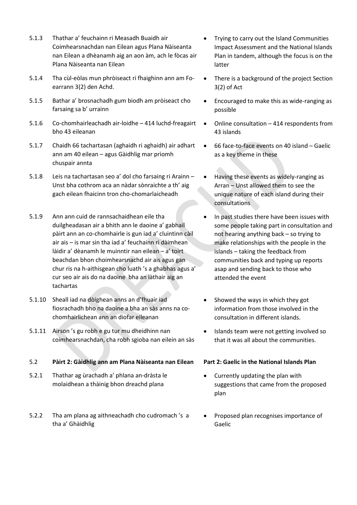- 5.1.3 Thathar a' feuchainn ri Measadh Buaidh air Coimhearsnachdan nan Eilean agus Plana Nàiseanta nan Eilean a dhèanamh aig an aon àm, ach le fòcas air Plana Nàiseanta nan Eilean
- 5.1.4 Tha cùl-eòlas mun phròiseact ri fhaighinn ann am Foearrann 3(2) den Achd.
- 5.1.5 Bathar a' brosnachadh gum biodh am pròiseact cho farsaing sa b' urrainn
- 5.1.6 Co-chomhairleachadh air-loidhe 414 luchd-freagairt bho 43 eileanan
- 5.1.7 Chaidh 66 tachartasan (aghaidh ri aghaidh) air adhart ann am 40 eilean – agus Gàidhlig mar prìomh chuspair annta
- 5.1.8 Leis na tachartasan seo a' dol cho farsaing ri Arainn Unst bha cothrom aca an nàdar sònraichte a th' aig gach eilean fhaicinn tron cho-chomarlaicheadh
- 5.1.9 Ann ann cuid de rannsachaidhean eile tha duilgheadasan air a bhith ann le daoine a' gabhail pàirt ann an co-chomhairle is gun iad a' cluintinn càil air ais – is mar sin tha iad a' feuchainn ri dàimhean làidir a' dèanamh le muinntir nan eilean – a' toirt beachdan bhon choimhearsnachd air ais agus gan chur ris na h-aithisgean cho luath 's a ghabhas agus a' cur seo air ais do na daoine bha an làthair aig an tachartas
- 5.1.10 Sheall iad na dòighean anns an d'fhuair iad fiosrachadh bho na daoine a bha an sàs anns na cochomhairlichean ann an diofar eileanan
- 5.1.11 Airson 's gu robh e gu tur mu dheidhinn nan coimhearsnachdan, cha robh sgioba nan eilein an sàs

5.2 **Pàirt 2: Gàidhlig ann am Plana Nàiseanta nan Eilean Part 2: Gaelic in the National Islands Plan**

- 5.2.1 Thathar ag ùrachadh a' phlana an-dràsta le molaidhean a thàinig bhon dreachd plana
- 5.2.2 Tha am plana ag aithneachadh cho cudromach 's a tha a' Ghàidhlig
- Trying to carry out the Island Communities Impact Assessment and the National Islands Plan in tandem, although the focus is on the latter
- There is a background of the project Section 3(2) of Act
- Encouraged to make this as wide-ranging as possible
- Online consultation 414 respondents from 43 islands
- 66 face-to-face events on 40 island Gaelic as a key theme in these
- Having these events as widely-ranging as Arran – Unst allowed them to see the unique nature of each island during their consultations
- In past studies there have been issues with some people taking part in consultation and not hearing anything back – so trying to make relationships with the people in the islands – taking the feedback from communities back and typing up reports asap and sending back to those who attended the event
- Showed the ways in which they got information from those involved in the consultation in different islands.
- Islands team were not getting involved so that it was all about the communities.

- Currently updating the plan with suggestions that came from the proposed plan
- Proposed plan recognises importance of Gaelic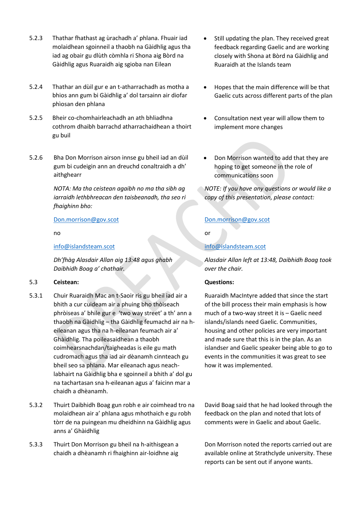- 5.2.3 Thathar fhathast ag ùrachadh a' phlana. Fhuair iad molaidhean sgoinneil a thaobh na Gàidhlig agus tha iad ag obair gu dlùth còmhla ri Shona aig Bòrd na Gàidhlig agus Ruaraidh aig sgioba nan Eilean
- 5.2.4 Thathar an dùil gur e an t-atharrachadh as motha a bhios ann gum bi Gàidhlig a' dol tarsainn air diofar phìosan den phlana
- 5.2.5 Bheir co-chomhairleachadh an ath bhliadhna cothrom dhaibh barrachd atharrachaidhean a thoirt gu buil
- 5.2.6 Bha Don Morrison airson innse gu bheil iad an dùil gum bi cudeigin ann an dreuchd conaltraidh a dh' aithghearr

*NOTA: Ma tha ceistean agaibh no ma tha sibh ag iarraidh lethbhreacan den taisbeanadh, tha seo ri fhaighinn bho:*

### [Don.morrison@gov.scot](mailto:Don.morrison@gov.scot)

no

### [info@islandsteam.scot](mailto:info@islandsteam.scot)

*Dh'fhàg Alasdair Allan aig 13:48 agus ghabh Daibhidh Boag a' chathair.*

### 5.3 **Ceistean: Questions:**

- 5.3.1 Chuir Ruaraidh Mac an t-Saoir ris gu bheil iad air a bhith a cur cuideam air a phuing bho thòiseach phròiseas a' bhile gur e 'two way street' a th' ann a thaobh na Gàidhlig – tha Gàidhlig feumachd air na heileanan agus tha na h-eileanan feumach air a' Ghàidhlig. Tha poileasaidhean a thaobh coimhearsnachdan/taigheadas is eile gu math cudromach agus tha iad air dèanamh cinnteach gu bheil seo sa phlana. Mar eileanach agus neachlabhairt na Gàidhlig bha e sgoinneil a bhith a' dol gu na tachartasan sna h-eileanan agus a' faicinn mar a chaidh a dhèanamh.
- 5.3.2 Thuirt Daibhidh Boag gun robh e air coimhead tro na molaidhean air a' phlana agus mhothaich e gu robh tòrr de na puingean mu dheidhinn na Gàidhlig agus anns a' Ghàidhlig
- 5.3.3 Thuirt Don Morrison gu bheil na h-aithisgean a chaidh a dhèanamh ri fhaighinn air-loidhne aig
- Still updating the plan. They received great feedback regarding Gaelic and are working closely with Shona at Bòrd na Gàidhlig and Ruaraidh at the Islands team
- Hopes that the main difference will be that Gaelic cuts across different parts of the plan
- Consultation next year will allow them to implement more changes
- Don Morrison wanted to add that they are hoping to get someone in the role of communications soon

*NOTE: If you have any questions or would like a copy of this presentation, please contact:* 

# [Don.morrison@gov.scot](mailto:Don.morrison@gov.scot)

or

# [info@islandsteam.scot](mailto:info@islandsteam.scot)

*Alasdair Allan left at 13:48, Daibhidh Boag took over the chair.*

Ruaraidh MacIntyre added that since the start of the bill process their main emphasis is how much of a two-way street it is – Gaelic need islands/islands need Gaelic. Communities, housing and other policies are very important and made sure that this is in the plan. As an islandser and Gaelic speaker being able to go to events in the communities it was great to see how it was implemented.

David Boag said that he had looked through the feedback on the plan and noted that lots of comments were in Gaelic and about Gaelic.

Don Morrison noted the reports carried out are available online at Strathclyde university. These reports can be sent out if anyone wants.